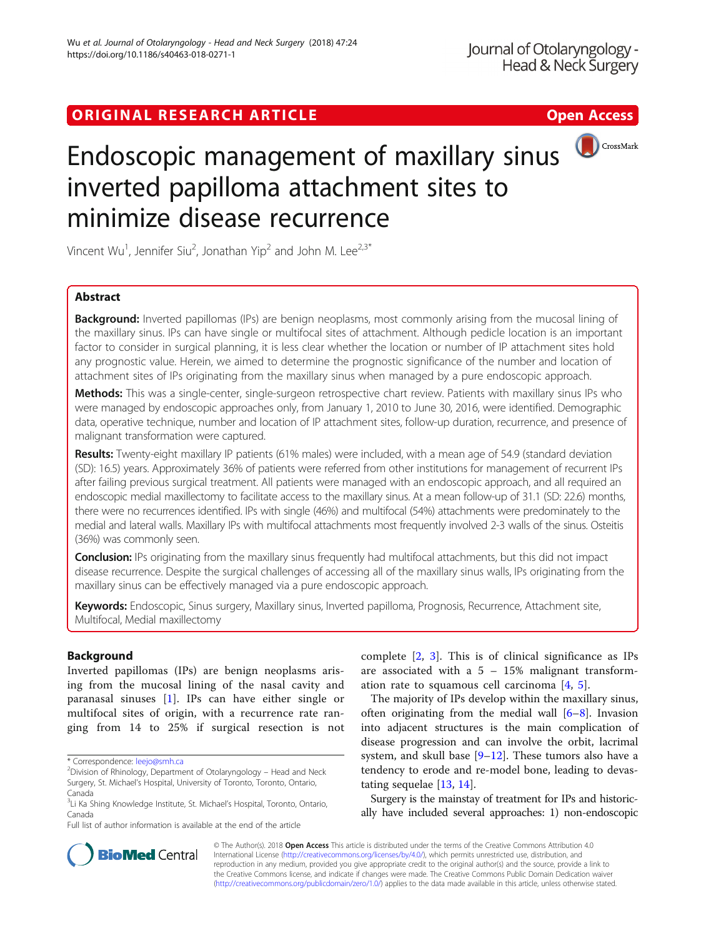## ORIGINAL RESEARCH ARTICLE **External of the Contract Contract Contract Contract Contract Contract Contract Contract Contract Contract Contract Contract Contract Contract Contract Contract Contract Contract Contract Contract**



# Endoscopic management of maxillary sinus inverted papilloma attachment sites to minimize disease recurrence

Vincent Wu<sup>1</sup>, Jennifer Siu<sup>2</sup>, Jonathan Yip<sup>2</sup> and John M. Lee<sup>2,3\*</sup>

## Abstract

**Background:** Inverted papillomas (IPs) are benign neoplasms, most commonly arising from the mucosal lining of the maxillary sinus. IPs can have single or multifocal sites of attachment. Although pedicle location is an important factor to consider in surgical planning, it is less clear whether the location or number of IP attachment sites hold any prognostic value. Herein, we aimed to determine the prognostic significance of the number and location of attachment sites of IPs originating from the maxillary sinus when managed by a pure endoscopic approach.

Methods: This was a single-center, single-surgeon retrospective chart review. Patients with maxillary sinus IPs who were managed by endoscopic approaches only, from January 1, 2010 to June 30, 2016, were identified. Demographic data, operative technique, number and location of IP attachment sites, follow-up duration, recurrence, and presence of malignant transformation were captured.

Results: Twenty-eight maxillary IP patients (61% males) were included, with a mean age of 54.9 (standard deviation (SD): 16.5) years. Approximately 36% of patients were referred from other institutions for management of recurrent IPs after failing previous surgical treatment. All patients were managed with an endoscopic approach, and all required an endoscopic medial maxillectomy to facilitate access to the maxillary sinus. At a mean follow-up of 31.1 (SD: 22.6) months, there were no recurrences identified. IPs with single (46%) and multifocal (54%) attachments were predominately to the medial and lateral walls. Maxillary IPs with multifocal attachments most frequently involved 2-3 walls of the sinus. Osteitis (36%) was commonly seen.

Conclusion: IPs originating from the maxillary sinus frequently had multifocal attachments, but this did not impact disease recurrence. Despite the surgical challenges of accessing all of the maxillary sinus walls, IPs originating from the maxillary sinus can be effectively managed via a pure endoscopic approach.

Keywords: Endoscopic, Sinus surgery, Maxillary sinus, Inverted papilloma, Prognosis, Recurrence, Attachment site, Multifocal, Medial maxillectomy

## Background

Inverted papillomas (IPs) are benign neoplasms arising from the mucosal lining of the nasal cavity and paranasal sinuses [[1\]](#page-3-0). IPs can have either single or multifocal sites of origin, with a recurrence rate ranging from 14 to 25% if surgical resection is not

complete [[2,](#page-3-0) [3\]](#page-3-0). This is of clinical significance as IPs are associated with a  $5 - 15\%$  malignant transformation rate to squamous cell carcinoma [[4,](#page-3-0) [5\]](#page-3-0).

The majority of IPs develop within the maxillary sinus, often originating from the medial wall [\[6](#page-3-0)–[8\]](#page-3-0). Invasion into adjacent structures is the main complication of disease progression and can involve the orbit, lacrimal system, and skull base [\[9](#page-3-0)–[12\]](#page-4-0). These tumors also have a tendency to erode and re-model bone, leading to devastating sequelae [[13](#page-4-0), [14](#page-4-0)].

Surgery is the mainstay of treatment for IPs and historically have included several approaches: 1) non-endoscopic



© The Author(s). 2018 Open Access This article is distributed under the terms of the Creative Commons Attribution 4.0 International License [\(http://creativecommons.org/licenses/by/4.0/](http://creativecommons.org/licenses/by/4.0/)), which permits unrestricted use, distribution, and reproduction in any medium, provided you give appropriate credit to the original author(s) and the source, provide a link to the Creative Commons license, and indicate if changes were made. The Creative Commons Public Domain Dedication waiver [\(http://creativecommons.org/publicdomain/zero/1.0/](http://creativecommons.org/publicdomain/zero/1.0/)) applies to the data made available in this article, unless otherwise stated.

<sup>\*</sup> Correspondence: [leejo@smh.ca](mailto:leejo@smh.ca) <sup>2</sup>

 $2$ Division of Rhinology, Department of Otolaryngology – Head and Neck Surgery, St. Michael's Hospital, University of Toronto, Toronto, Ontario, Canada

<sup>&</sup>lt;sup>3</sup>Li Ka Shing Knowledge Institute, St. Michael's Hospital, Toronto, Ontario, Canada

Full list of author information is available at the end of the article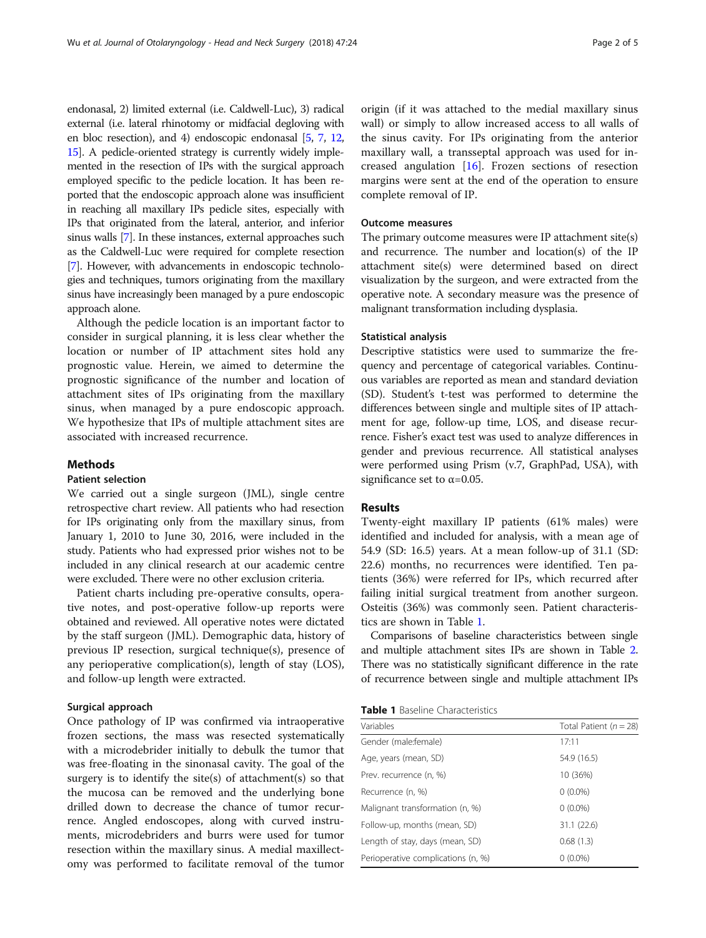endonasal, 2) limited external (i.e. Caldwell-Luc), 3) radical external (i.e. lateral rhinotomy or midfacial degloving with en bloc resection), and 4) endoscopic endonasal [\[5,](#page-3-0) [7](#page-3-0), [12](#page-4-0), [15](#page-4-0)]. A pedicle-oriented strategy is currently widely implemented in the resection of IPs with the surgical approach employed specific to the pedicle location. It has been reported that the endoscopic approach alone was insufficient in reaching all maxillary IPs pedicle sites, especially with IPs that originated from the lateral, anterior, and inferior sinus walls [\[7](#page-3-0)]. In these instances, external approaches such as the Caldwell-Luc were required for complete resection [[7](#page-3-0)]. However, with advancements in endoscopic technologies and techniques, tumors originating from the maxillary sinus have increasingly been managed by a pure endoscopic approach alone.

Although the pedicle location is an important factor to consider in surgical planning, it is less clear whether the location or number of IP attachment sites hold any prognostic value. Herein, we aimed to determine the prognostic significance of the number and location of attachment sites of IPs originating from the maxillary sinus, when managed by a pure endoscopic approach. We hypothesize that IPs of multiple attachment sites are associated with increased recurrence.

## **Methods**

## Patient selection

We carried out a single surgeon (JML), single centre retrospective chart review. All patients who had resection for IPs originating only from the maxillary sinus, from January 1, 2010 to June 30, 2016, were included in the study. Patients who had expressed prior wishes not to be included in any clinical research at our academic centre were excluded. There were no other exclusion criteria.

Patient charts including pre-operative consults, operative notes, and post-operative follow-up reports were obtained and reviewed. All operative notes were dictated by the staff surgeon (JML). Demographic data, history of previous IP resection, surgical technique(s), presence of any perioperative complication(s), length of stay (LOS), and follow-up length were extracted.

### Surgical approach

Once pathology of IP was confirmed via intraoperative frozen sections, the mass was resected systematically with a microdebrider initially to debulk the tumor that was free-floating in the sinonasal cavity. The goal of the surgery is to identify the site(s) of attachment(s) so that the mucosa can be removed and the underlying bone drilled down to decrease the chance of tumor recurrence. Angled endoscopes, along with curved instruments, microdebriders and burrs were used for tumor resection within the maxillary sinus. A medial maxillectomy was performed to facilitate removal of the tumor origin (if it was attached to the medial maxillary sinus wall) or simply to allow increased access to all walls of the sinus cavity. For IPs originating from the anterior maxillary wall, a transseptal approach was used for increased angulation [\[16](#page-4-0)]. Frozen sections of resection margins were sent at the end of the operation to ensure complete removal of IP.

#### Outcome measures

The primary outcome measures were IP attachment site(s) and recurrence. The number and location(s) of the IP attachment site(s) were determined based on direct visualization by the surgeon, and were extracted from the operative note. A secondary measure was the presence of malignant transformation including dysplasia.

#### Statistical analysis

Descriptive statistics were used to summarize the frequency and percentage of categorical variables. Continuous variables are reported as mean and standard deviation (SD). Student's t-test was performed to determine the differences between single and multiple sites of IP attachment for age, follow-up time, LOS, and disease recurrence. Fisher's exact test was used to analyze differences in gender and previous recurrence. All statistical analyses were performed using Prism (v.7, GraphPad, USA), with significance set to  $\alpha$ =0.05.

## Results

Twenty-eight maxillary IP patients (61% males) were identified and included for analysis, with a mean age of 54.9 (SD: 16.5) years. At a mean follow-up of 31.1 (SD: 22.6) months, no recurrences were identified. Ten patients (36%) were referred for IPs, which recurred after failing initial surgical treatment from another surgeon. Osteitis (36%) was commonly seen. Patient characteristics are shown in Table 1.

Comparisons of baseline characteristics between single and multiple attachment sites IPs are shown in Table [2](#page-2-0). There was no statistically significant difference in the rate of recurrence between single and multiple attachment IPs

## Table 1 Baseline Characteristics

| Variables                          | Total Patient ( $n = 28$ ) |
|------------------------------------|----------------------------|
| Gender (male:female)               | 17:11                      |
| Age, years (mean, SD)              | 54.9 (16.5)                |
| Prev. recurrence (n, %)            | 10 (36%)                   |
| Recurrence (n, %)                  | $0(0.0\%)$                 |
| Malignant transformation (n, %)    | $0(0.0\%)$                 |
| Follow-up, months (mean, SD)       | 31.1 (22.6)                |
| Length of stay, days (mean, SD)    | 0.68(1.3)                  |
| Perioperative complications (n, %) | $0(0.0\%)$                 |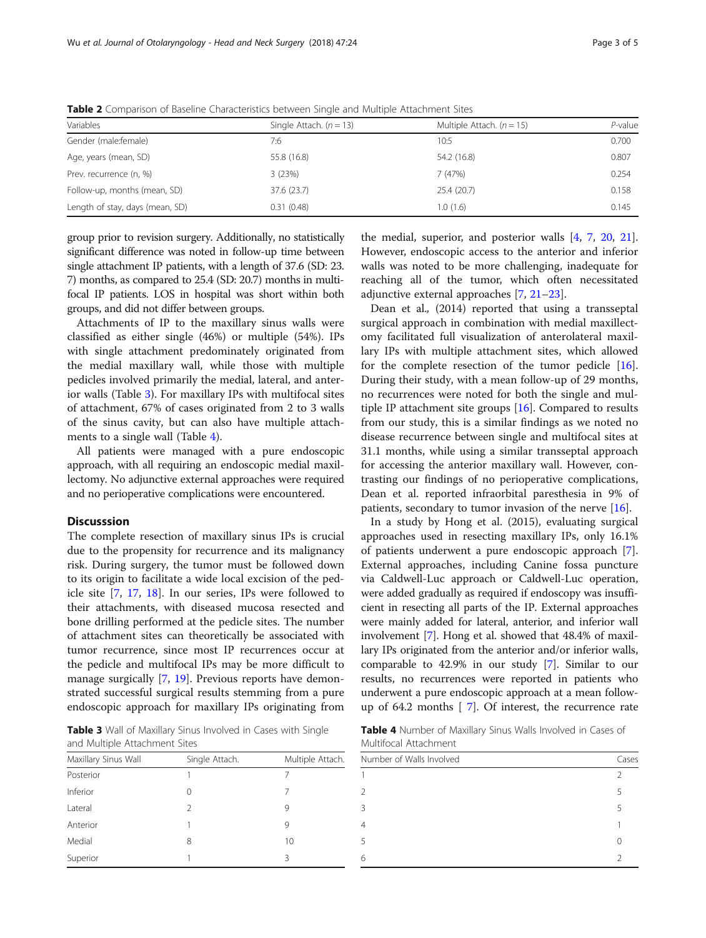| Variables                       | Single Attach. $(n = 13)$ | Multiple Attach. $(n = 15)$ | $P$ -value |
|---------------------------------|---------------------------|-----------------------------|------------|
| Gender (male:female)            | 7:6                       | 10:5                        | 0.700      |
| Age, years (mean, SD)           | 55.8 (16.8)               | 54.2 (16.8)                 | 0.807      |
| Prev. recurrence (n, %)         | 3(23%)                    | 7(47%)                      | 0.254      |
| Follow-up, months (mean, SD)    | 37.6 (23.7)               | 25.4 (20.7)                 | 0.158      |
| Length of stay, days (mean, SD) | 0.31(0.48)                | 1.0(1.6)                    | 0.145      |

<span id="page-2-0"></span>Table 2 Comparison of Baseline Characteristics between Single and Multiple Attachment Sites

group prior to revision surgery. Additionally, no statistically significant difference was noted in follow-up time between single attachment IP patients, with a length of 37.6 (SD: 23. 7) months, as compared to 25.4 (SD: 20.7) months in multifocal IP patients. LOS in hospital was short within both groups, and did not differ between groups.

Attachments of IP to the maxillary sinus walls were classified as either single (46%) or multiple (54%). IPs with single attachment predominately originated from the medial maxillary wall, while those with multiple pedicles involved primarily the medial, lateral, and anterior walls (Table 3). For maxillary IPs with multifocal sites of attachment, 67% of cases originated from 2 to 3 walls of the sinus cavity, but can also have multiple attachments to a single wall (Table 4).

All patients were managed with a pure endoscopic approach, with all requiring an endoscopic medial maxillectomy. No adjunctive external approaches were required and no perioperative complications were encountered.

#### **Discusssion**

The complete resection of maxillary sinus IPs is crucial due to the propensity for recurrence and its malignancy risk. During surgery, the tumor must be followed down to its origin to facilitate a wide local excision of the pedicle site [\[7,](#page-3-0) [17](#page-4-0), [18](#page-4-0)]. In our series, IPs were followed to their attachments, with diseased mucosa resected and bone drilling performed at the pedicle sites. The number of attachment sites can theoretically be associated with tumor recurrence, since most IP recurrences occur at the pedicle and multifocal IPs may be more difficult to manage surgically [[7,](#page-3-0) [19\]](#page-4-0). Previous reports have demonstrated successful surgical results stemming from a pure endoscopic approach for maxillary IPs originating from

the medial, superior, and posterior walls [[4,](#page-3-0) [7](#page-3-0), [20,](#page-4-0) [21](#page-4-0)]. However, endoscopic access to the anterior and inferior walls was noted to be more challenging, inadequate for reaching all of the tumor, which often necessitated adjunctive external approaches [\[7](#page-3-0), [21](#page-4-0)–[23\]](#page-4-0). Dean et al., (2014) reported that using a transseptal

surgical approach in combination with medial maxillectomy facilitated full visualization of anterolateral maxillary IPs with multiple attachment sites, which allowed for the complete resection of the tumor pedicle [\[16](#page-4-0)]. During their study, with a mean follow-up of 29 months, no recurrences were noted for both the single and multiple IP attachment site groups [[16\]](#page-4-0). Compared to results from our study, this is a similar findings as we noted no disease recurrence between single and multifocal sites at 31.1 months, while using a similar transseptal approach for accessing the anterior maxillary wall. However, contrasting our findings of no perioperative complications, Dean et al. reported infraorbital paresthesia in 9% of patients, secondary to tumor invasion of the nerve [\[16\]](#page-4-0).

In a study by Hong et al. (2015), evaluating surgical approaches used in resecting maxillary IPs, only 16.1% of patients underwent a pure endoscopic approach [\[7](#page-3-0)]. External approaches, including Canine fossa puncture via Caldwell-Luc approach or Caldwell-Luc operation, were added gradually as required if endoscopy was insufficient in resecting all parts of the IP. External approaches were mainly added for lateral, anterior, and inferior wall involvement [\[7](#page-3-0)]. Hong et al. showed that 48.4% of maxillary IPs originated from the anterior and/or inferior walls, comparable to 42.9% in our study [[7\]](#page-3-0). Similar to our results, no recurrences were reported in patients who underwent a pure endoscopic approach at a mean followup of 64.2 months [ [7\]](#page-3-0). Of interest, the recurrence rate

Table 3 Wall of Maxillary Sinus Involved in Cases with Single and Multiple Attachment Sites

| Maxillary Sinus Wall | Single Attach. | Multiple Attach. |
|----------------------|----------------|------------------|
| Posterior            |                |                  |
| Inferior             | $\Omega$       |                  |
| Lateral              | $\mathcal{L}$  | 9                |
| Anterior             |                | 9                |
| Medial               | 8              | 10               |
| Superior             |                | 3                |

Table 4 Number of Maxillary Sinus Walls Involved in Cases of Multifocal Attachment

| 5<br>Β<br>5<br>5<br>6 | Number of Walls Involved |  |
|-----------------------|--------------------------|--|
|                       |                          |  |
|                       |                          |  |
|                       |                          |  |
|                       |                          |  |
|                       |                          |  |
|                       |                          |  |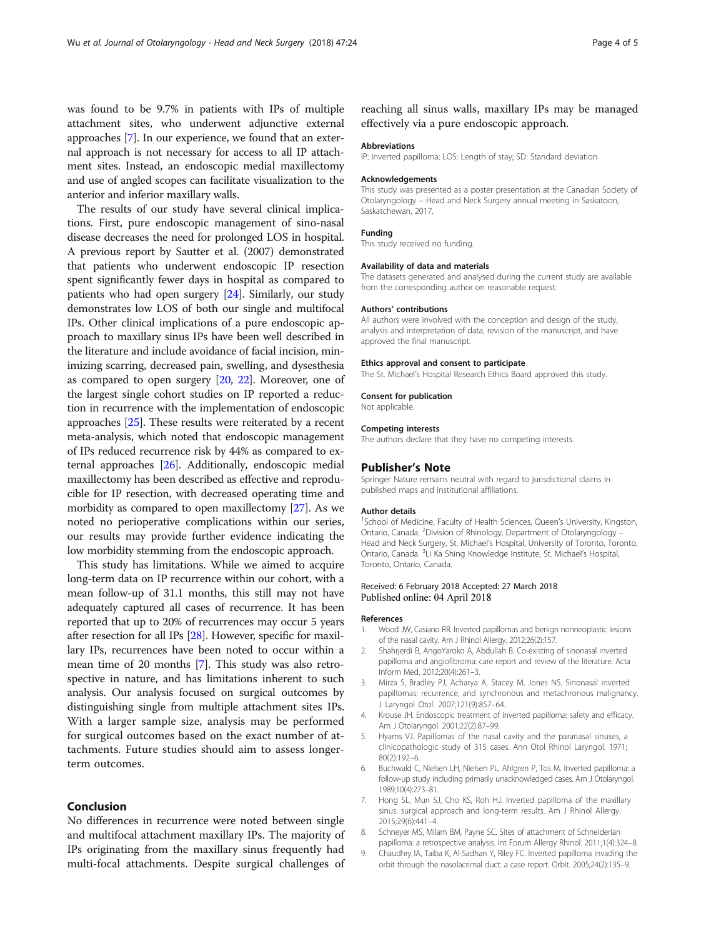<span id="page-3-0"></span>was found to be 9.7% in patients with IPs of multiple attachment sites, who underwent adjunctive external approaches [7]. In our experience, we found that an external approach is not necessary for access to all IP attachment sites. Instead, an endoscopic medial maxillectomy and use of angled scopes can facilitate visualization to the anterior and inferior maxillary walls.

The results of our study have several clinical implications. First, pure endoscopic management of sino-nasal disease decreases the need for prolonged LOS in hospital. A previous report by Sautter et al. (2007) demonstrated that patients who underwent endoscopic IP resection spent significantly fewer days in hospital as compared to patients who had open surgery [[24](#page-4-0)]. Similarly, our study demonstrates low LOS of both our single and multifocal IPs. Other clinical implications of a pure endoscopic approach to maxillary sinus IPs have been well described in the literature and include avoidance of facial incision, minimizing scarring, decreased pain, swelling, and dysesthesia as compared to open surgery [\[20,](#page-4-0) [22](#page-4-0)]. Moreover, one of the largest single cohort studies on IP reported a reduction in recurrence with the implementation of endoscopic approaches [[25\]](#page-4-0). These results were reiterated by a recent meta-analysis, which noted that endoscopic management of IPs reduced recurrence risk by 44% as compared to external approaches [\[26\]](#page-4-0). Additionally, endoscopic medial maxillectomy has been described as effective and reproducible for IP resection, with decreased operating time and morbidity as compared to open maxillectomy [[27](#page-4-0)]. As we noted no perioperative complications within our series, our results may provide further evidence indicating the low morbidity stemming from the endoscopic approach.

This study has limitations. While we aimed to acquire long-term data on IP recurrence within our cohort, with a mean follow-up of 31.1 months, this still may not have adequately captured all cases of recurrence. It has been reported that up to 20% of recurrences may occur 5 years after resection for all IPs [[28](#page-4-0)]. However, specific for maxillary IPs, recurrences have been noted to occur within a mean time of 20 months [7]. This study was also retrospective in nature, and has limitations inherent to such analysis. Our analysis focused on surgical outcomes by distinguishing single from multiple attachment sites IPs. With a larger sample size, analysis may be performed for surgical outcomes based on the exact number of attachments. Future studies should aim to assess longerterm outcomes.

## Conclusion

No differences in recurrence were noted between single and multifocal attachment maxillary IPs. The majority of IPs originating from the maxillary sinus frequently had multi-focal attachments. Despite surgical challenges of

reaching all sinus walls, maxillary IPs may be managed effectively via a pure endoscopic approach.

#### Abbreviations

IP: Inverted papilloma; LOS: Length of stay; SD: Standard deviation

#### Acknowledgements

This study was presented as a poster presentation at the Canadian Society of Otolaryngology – Head and Neck Surgery annual meeting in Saskatoon, Saskatchewan, 2017.

#### Funding

This study received no funding.

#### Availability of data and materials

The datasets generated and analysed during the current study are available from the corresponding author on reasonable request.

#### Authors' contributions

All authors were involved with the conception and design of the study. analysis and interpretation of data, revision of the manuscript, and have approved the final manuscript.

#### Ethics approval and consent to participate

The St. Michael's Hospital Research Ethics Board approved this study.

#### Consent for publication

Not applicable.

#### Competing interests

The authors declare that they have no competing interests.

#### Publisher's Note

Springer Nature remains neutral with regard to jurisdictional claims in published maps and institutional affiliations.

#### Author details

<sup>1</sup>School of Medicine, Faculty of Health Sciences, Queen's University, Kingston, Ontario, Canada. <sup>2</sup> Division of Rhinology, Department of Otolaryngology -Head and Neck Surgery, St. Michael's Hospital, University of Toronto, Toronto, Ontario, Canada. <sup>3</sup>Li Ka Shing Knowledge Institute, St. Michael's Hospital Toronto, Ontario, Canada.

#### Received: 6 February 2018 Accepted: 27 March 2018 Published online: 04 April 2018

#### References

- 1. Wood JW, Casiano RR. Inverted papillomas and benign nonneoplastic lesions of the nasal cavity. Am J Rhinol Allergy. 2012;26(2):157.
- 2. Shahrjerdi B, AngoYaroko A, Abdullah B. Co-existing of sinonasal inverted papilloma and angiofibroma: care report and review of the literature. Acta Inform Med. 2012;20(4):261–3.
- 3. Mirza S, Bradley PJ, Acharya A, Stacey M, Jones NS. Sinonasal inverted papillomas: recurrence, and synchronous and metachronous malignancy. J Laryngol Otol. 2007;121(9):857–64.
- 4. Krouse JH. Endoscopic treatment of inverted papilloma: safety and efficacy. Am J Otolaryngol. 2001;22(2):87–99.
- 5. Hyams VJ. Papillomas of the nasal cavity and the paranasal sinuses, a clinicopathologic study of 315 cases. Ann Otol Rhinol Laryngol. 1971; 80(2):192–6.
- 6. Buchwald C, Nielsen LH, Nielsen PL, Ahlgren P, Tos M. Inverted papilloma: a follow-up study including primarily unacknowledged cases. Am J Otolaryngol. 1989;10(4):273–81.
- 7. Hong SL, Mun SJ, Cho KS, Roh HJ. Inverted papilloma of the maxillary sinus: surgical approach and long-term results. Am J Rhinol Allergy. 2015;29(6):441–4.
- 8. Schneyer MS, Milam BM, Payne SC. Sites of attachment of Schneiderian papilloma: a retrospective analysis. Int Forum Allergy Rhinol. 2011;1(4):324–8.
- 9. Chaudhry IA, Taiba K, Al-Sadhan Y, Riley FC. Inverted papilloma invading the orbit through the nasolacrimal duct: a case report. Orbit. 2005;24(2):135–9.